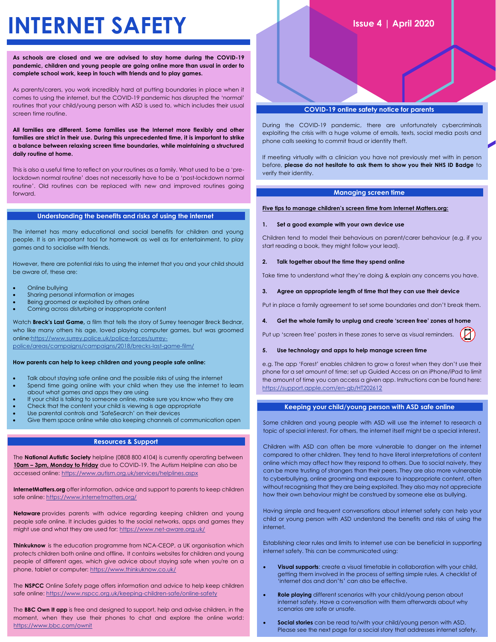# **INTERNET SAFETY ISSUE 4 | April 2020**

**As schools are closed and we are advised to stay home during the COVID-19 pandemic, children and young people are going online more than usual in order to complete school work, keep in touch with friends and to play games.**

As parents/carers, you work incredibly hard at putting boundaries in place when it comes to using the internet, but the COVID-19 pandemic has disrupted the 'normal' routines that your child/young person with ASD is used to, which includes their usual screen time routine.

**All families are different. Some families use the Internet more flexibly and other families are strict in their use. During this unprecedented time, it is important to strike a balance between relaxing screen time boundaries, while maintaining a structured daily routine at home.**

This is also a useful time to reflect on your routines as a family. What used to be a 'prelockdown normal routine' does not necessarily have to be a 'post-lockdown normal routine'. Old routines can be replaced with new and improved routines going forward.

# **Understanding the benefits and risks of using the internet**

The internet has many educational and social benefits for children and young people. It is an important tool for homework as well as for entertainment, to play games and to socialise with friends.

However, there are potential risks to using the internet that you and your child should be aware of, these are:

- Online bullying
- Sharing personal information or images
- Being groomed or exploited by others online • Coming across disturbing or inappropriate content

Watch **Breck's Last Game,** a film that tells the story of Surrey teenager Breck Bednar,

who like many others his age, loved playing computer games, but was groomed onlin[e:https://www.surrey.police.uk/police-forces/surrey](https://www.surrey.police.uk/police-forces/surrey-police/areas/campaigns/campaigns/2018/brecks-last-game-film/)[police/areas/campaigns/campaigns/2018/brecks-last-game-film/](https://www.surrey.police.uk/police-forces/surrey-police/areas/campaigns/campaigns/2018/brecks-last-game-film/)

# **How parents can help to keep children and young people safe online:**

- Talk about staying safe online and the possible risks of using the internet
- Spend time going online with your child when they use the internet to learn
- about what games and apps they are using
- If your child is talking to someone online, make sure you know who they are • Check that the content your child is viewing is age appropriate
- Use parental controls and 'SafeSearch' on their devices
- 
- Give them space online while also keeping channels of communication open

# **Resources & Support**

The **National Autistic Society** helpline (0808 800 4104) is currently operating between **10am – 3pm, Monday to Friday** due to COVID-19. The Autism Helpline can also be accessed online: <https://www.autism.org.uk/services/helplines.aspx>

**InternetMatters.org** offer information, advice and support to parents to keep children safe online[: https://www.internetmatters.org/](https://www.internetmatters.org/)

**Netaware** provides parents with advice regarding keeping children and young people safe online. It includes guides to the social networks, apps and games they might use and what they are used for[: https://www.net-aware.org.uk/](https://www.net-aware.org.uk/)

**Thinkuknow** is the education programme from NCA-CEOP, a UK organisation which protects children both online and offline**.** It contains websites for children and young people of different ages, which give advice about staying safe when you're on a phone, tablet or computer[: https://www.thinkuknow.co.uk/](https://www.thinkuknow.co.uk/)

The **NSPCC** Online Safety page offers information and advice to help keep children safe online[: https://www.nspcc.org.uk/keeping-children-safe/online-safety](https://www.nspcc.org.uk/keeping-children-safe/online-safety)

The **BBC Own It app** is free and designed to support, help and advise children, in the moment, when they use their phones to chat and explore the online world: <https://www.bbc.com/ownit>

# **COVID-19 online safety notice for parents**

During the COVID-19 pandemic, there are unfortunately cybercriminals exploiting the crisis with a huge volume of emails, texts, social media posts and phone calls seeking to commit fraud or identity theft.

If meeting virtually with a clinician you have not previously met with in person before, **please do not hesitate to ask them to show you their NHS ID Badge** to verify their identity.

# **Managing screen time**

**Five tips to manage children's screen time from Internet Matters.org:**

### **1. Set a good example with your own device use**

Children tend to model their behaviours on parent/carer behaviour (e.g. if you start reading a book, they might follow your lead).

#### **2. Talk together about the time they spend online**

Take time to understand what they're doing & explain any concerns you have.

### **3. Agree an appropriate length of time that they can use their device**

Put in place a family agreement to set some boundaries and don't break them.

# **4. Get the whole family to unplug and create 'screen free' zones at home**

Put up 'screen free' posters in these zones to serve as visual reminders. (

# **5. Use technology and apps to help manage screen time**

e.g. The app 'Forest' enables children to grow a forest when they don't use their phone for a set amount of time; set up Guided Access on an iPhone/iPad to limit the amount of time you can access a given app. Instructions can be found here: <https://support.apple.com/en-gb/HT202612>

## **Keeping your child/young person with ASD safe online**

Some children and young people with ASD will use the internet to research a topic of special interest. For others, the internet itself might be a special interest**.** 

Children with ASD can often be more vulnerable to danger on the internet compared to other children. They tend to have literal interpretations of content online which may affect how they respond to others. Due to social naivety, they can be more trusting of strangers than their peers. They are also more vulnerable to cyberbullying, online grooming and exposure to inappropriate content, often without recognising that they are being exploited. They also may not appreciate how their own behaviour might be construed by someone else as bullying.

Having simple and frequent conversations about internet safety can help your child or young person with ASD understand the benefits and risks of using the internet.

Establishing clear rules and limits to internet use can be beneficial in supporting internet safety. This can be communicated using:

- **Visual supports**: create a visual timetable in collaboration with your child, getting them involved in the process of setting simple rules. A checklist of 'internet dos and don'ts' can also be effective.
- **Role playing** different scenarios with your child/young person about internet safety. Have a conversation with them afterwards about why scenarios are safe or unsafe.
- **Social stories** can be read to/with your child/young person with ASD. Please see the next page for a social story that addresses internet safety.